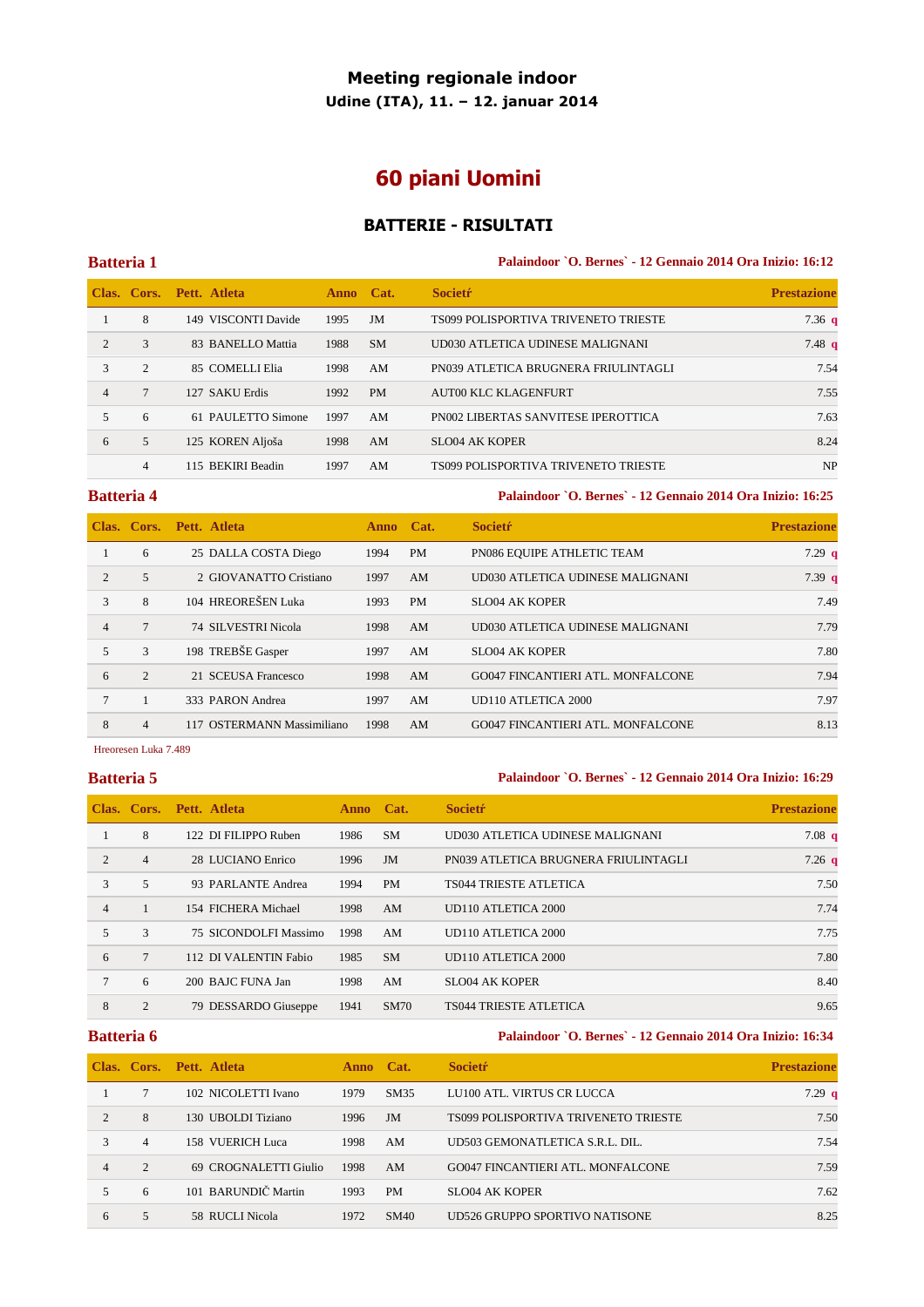## **Meeting regionale indoor**

**Udine (ITA), 11. – 12. januar 2014** 

# **60 piani Uomini**

### **BATTERIE - RISULTATI**

### **Batteria 1 Palaindoor `O. Bernes` - 12 Gennaio 2014 Ora Inizio: 16:12**

|                |                | Clas. Cors. Pett. Atleta      | Anno Cat. |           | <b>Societr</b>                       | <b>Prestazione</b> |
|----------------|----------------|-------------------------------|-----------|-----------|--------------------------------------|--------------------|
|                | 8              | <b>VISCONTI Davide</b><br>149 | 1995      | JM        | TS099 POLISPORTIVA TRIVENETO TRIESTE | 7.36 $q$           |
| $\mathfrak{D}$ | 3              | 83 BANELLO Mattia             | 1988      | <b>SM</b> | UD030 ATLETICA UDINESE MALIGNANI     | 7.48 <sub>q</sub>  |
| 3              | 2              | 85 COMELLI Elia               | 1998      | AM        | PN039 ATLETICA BRUGNERA FRIULINTAGLI | 7.54               |
|                |                | 127 SAKU Erdis                | 1992      | <b>PM</b> | <b>AUT00 KLC KLAGENFURT</b>          | 7.55               |
| 5              | 6              | 61 PAULETTO Simone            | 1997      | AM        | PN002 LIBERTAS SANVITESE IPEROTTICA  | 7.63               |
| 6              | 5              | 125 KOREN Aljoša              | 1998      | AM        | SLO04 AK KOPER                       | 8.24               |
|                | $\overline{4}$ | 115 BEKIRI Beadin             | 1997      | AM        | TS099 POLISPORTIVA TRIVENETO TRIESTE | <b>NP</b>          |

**Batteria 4 Palaindoor `O. Bernes` - 12 Gennaio 2014 Ora Inizio: 16:25** 

|                |                | Clas. Cors. Pett. Atleta   | <b>Anno</b> | Cat.      | <b>Societr</b>                           | <b>Prestazione</b> |
|----------------|----------------|----------------------------|-------------|-----------|------------------------------------------|--------------------|
|                | 6              | 25 DALLA COSTA Diego       | 1994        | <b>PM</b> | PN086 EQUIPE ATHLETIC TEAM               | $7.29$ q           |
| 2              | 5              | 2 GIOVANATTO Cristiano     | 1997        | AM        | UD030 ATLETICA UDINESE MALIGNANI         | 7.39 <sub>q</sub>  |
| 3              | 8              | 104 HREOREŠEN Luka         | 1993        | <b>PM</b> | SLO04 AK KOPER                           | 7.49               |
| $\overline{4}$ |                | 74 SILVESTRI Nicola        | 1998        | AM        | UD030 ATLETICA UDINESE MALIGNANI         | 7.79               |
| $\mathfrak{F}$ | 3              | 198 TREBŠE Gasper          | 1997        | AM        | SLO04 AK KOPER                           | 7.80               |
| 6              | $\mathfrak{D}$ | 21 SCEUSA Francesco        | 1998        | AM        | GO047 FINCANTIERI ATL. MONFALCONE        | 7.94               |
|                |                | 333 PARON Andrea           | 1997        | AM        | UD110 ATLETICA 2000                      | 7.97               |
| 8              | $\overline{4}$ | 117 OSTERMANN Massimiliano | 1998        | AM        | <b>GO047 FINCANTIERI ATL. MONFALCONE</b> | 8.13               |

### Hreoresen Luka 7.489

### **Batteria 5 Palaindoor `O. Bernes` - 12 Gennaio 2014 Ora Inizio: 16:29**

|                | Clas. Cors.    | Pett. Atleta          | Anno Cat. |           | <b>Societr</b>                       | <b>Prestazione</b> |
|----------------|----------------|-----------------------|-----------|-----------|--------------------------------------|--------------------|
|                | 8              | 122 DI FILIPPO Ruben  | 1986      | <b>SM</b> | UD030 ATLETICA UDINESE MALIGNANI     | 7.08 <sub>q</sub>  |
| $\mathfrak{D}$ | $\overline{4}$ | 28 LUCIANO Enrico     | 1996      | JM        | PN039 ATLETICA BRUGNERA FRIULINTAGLI | $7.26\text{ q}$    |
| 3              | 5              | 93 PARLANTE Andrea    | 1994      | <b>PM</b> | <b>TS044 TRIESTE ATLETICA</b>        | 7.50               |
| $\overline{4}$ |                | 154 FICHERA Michael   | 1998      | AM        | UD110 ATLETICA 2000                  | 7.74               |
| $5^{\circ}$    | $\mathcal{L}$  | 75 SICONDOLFI Massimo | 1998      | AM        | UD110 ATLETICA 2000                  | 7.75               |
| 6              | $\tau$         | 112 DI VALENTIN Fabio | 1985      | <b>SM</b> | UD110 ATLETICA 2000                  | 7.80               |
| $\tau$         | 6              | 200 BAJC FUNA Jan     | 1998      | AM        | <b>SLO04 AK KOPER</b>                | 8.40               |
| 8              | 2              | 79 DESSARDO Giuseppe  | 1941      | SM70      | <b>TS044 TRIESTE ATLETICA</b>        | 9.65               |

### **Batteria 6 Palaindoor `O. Bernes` - 12 Gennaio 2014 Ora Inizio: 16:34**

|                             |                | Clas. Cors. Pett. Atleta | <b>Anno</b> | Cat.      | <b>Societr</b>                           | <b>Prestazione</b> |
|-----------------------------|----------------|--------------------------|-------------|-----------|------------------------------------------|--------------------|
|                             |                | 102 NICOLETTI Ivano      | 1979        | SM35      | LU100 ATL. VIRTUS CR LUCCA               | 7.29q              |
| $\mathcal{D}_{\mathcal{L}}$ | 8              | 130 UBOLDI Tiziano       | 1996        | JM        | TS099 POLISPORTIVA TRIVENETO TRIESTE     | 7.50               |
| 3                           | $\overline{4}$ | 158 VUERICH Luca         | 1998        | AM        | UD503 GEMONATLETICA S.R.L. DIL.          | 7.54               |
| 4                           | $\mathcal{L}$  | 69 CROGNALETTI Giulio    | 1998        | AM        | <b>GO047 FINCANTIERI ATL. MONFALCONE</b> | 7.59               |
| 5                           | 6              | 101 BARUNDIČ Martin      | 1993        | <b>PM</b> | <b>SLO04 AK KOPER</b>                    | 7.62               |
| 6                           | 5              | 58 RUCLI Nicola          | 1972        | SM40      | UD526 GRUPPO SPORTIVO NATISONE           | 8.25               |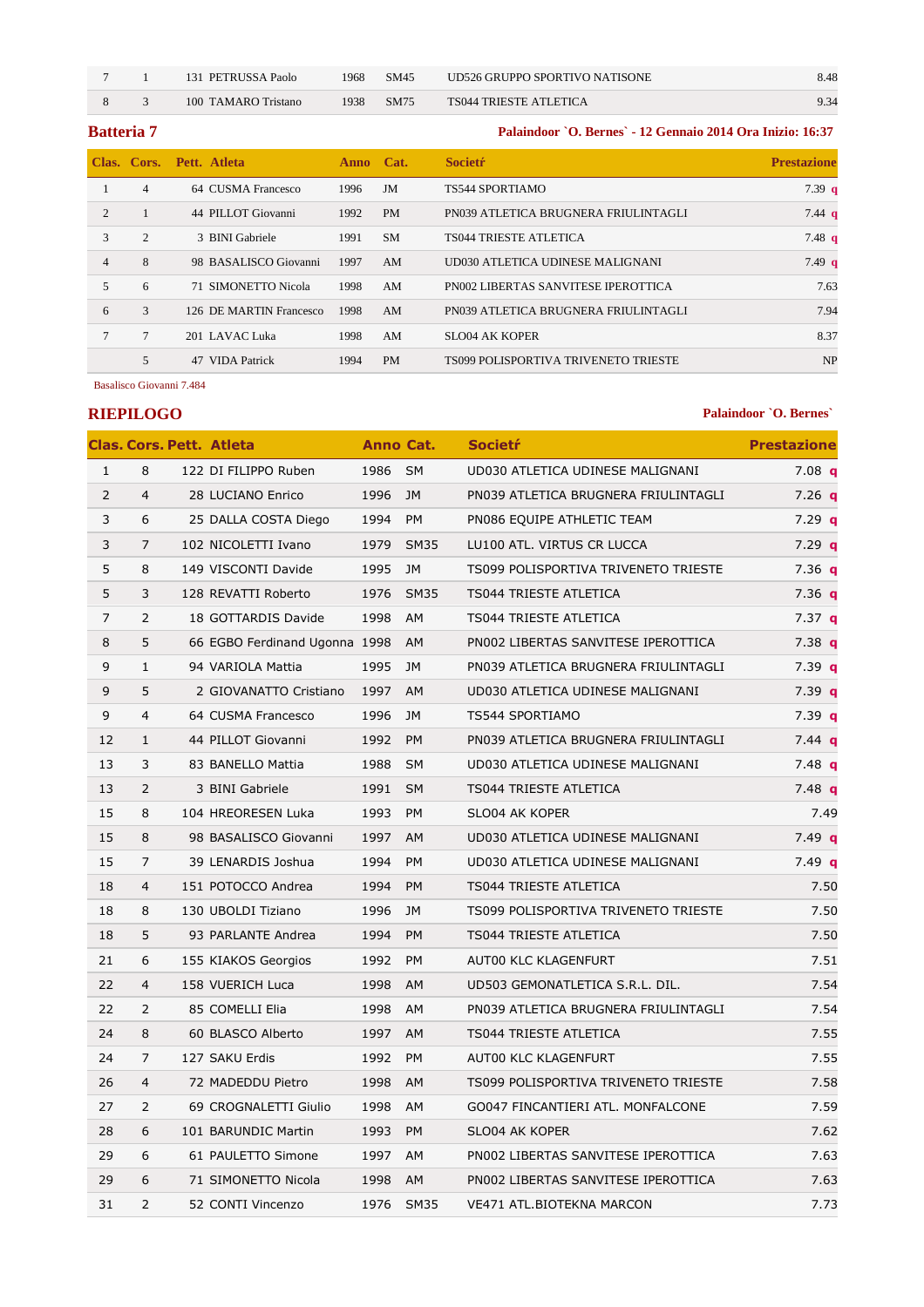7 1 131 PETRUSSA Paolo 1968 SM45 UD526 GRUPPO SPORTIVO NATISONE 8.48

8 3 100 TAMARO Tristano 1938 SM75 TS044 TRIESTE ATLETICA 9.34

**Batteria 7 Palaindoor `O. Bernes` - 12 Gennaio 2014 Ora Inizio: 16:37** 

|                |               | Clas. Cors. Pett. Atleta | Anno Cat. |           | <b>Societr</b>                              | <b>Prestazione</b> |
|----------------|---------------|--------------------------|-----------|-----------|---------------------------------------------|--------------------|
|                | 4             | 64 CUSMA Francesco       | 1996      | JM        | <b>TS544 SPORTIAMO</b>                      | 7.39 <sub>q</sub>  |
| $\mathfrak{D}$ |               | 44 PILLOT Giovanni       | 1992      | <b>PM</b> | PN039 ATLETICA BRUGNERA FRIULINTAGLI        | $7.44 \text{ q}$   |
| 3              | 2             | 3 BINI Gabriele          | 1991      | <b>SM</b> | <b>TS044 TRIESTE ATLETICA</b>               | $7.48$ q           |
| $\overline{4}$ | 8             | 98 BASALISCO Giovanni    | 1997      | AM        | UD030 ATLETICA UDINESE MALIGNANI            | 7.49 <sub>q</sub>  |
| 5              | 6             | 71 SIMONETTO Nicola      | 1998      | AM        | <b>PN002 LIBERTAS SANVITESE IPEROTTICA</b>  | 7.63               |
| 6              | $\mathcal{F}$ | 126 DE MARTIN Francesco  | 1998      | AM        | PN039 ATLETICA BRUGNERA FRIULINTAGLI        | 7.94               |
|                | 7             | 201 LAVAC Luka           | 1998      | AM        | <b>SLO04 AK KOPER</b>                       | 8.37               |
|                | 5             | 47 VIDA Patrick          | 1994      | <b>PM</b> | <b>TS099 POLISPORTIVA TRIVENETO TRIESTE</b> | <b>NP</b>          |

Basalisco Giovanni 7.484

**RIEPILOGO Palaindoor `O. Bernes` Palaindoor `O. Bernes**`

|                |                | <b>Clas. Cors. Pett. Atleta</b> | Anno Cat. |             | Societŕ                              | <b>Prestazione</b> |
|----------------|----------------|---------------------------------|-----------|-------------|--------------------------------------|--------------------|
| $\mathbf{1}$   | 8              | 122 DI FILIPPO Ruben            | 1986 SM   |             | UD030 ATLETICA UDINESE MALIGNANI     | $7.08$ q           |
| $\overline{2}$ | $\overline{4}$ | 28 LUCIANO Enrico               | 1996      | <b>JM</b>   | PN039 ATLETICA BRUGNERA FRIULINTAGLI | $7.26$ q           |
| 3              | 6              | 25 DALLA COSTA Diego            | 1994      | <b>PM</b>   | PN086 EQUIPE ATHLETIC TEAM           | $7.29$ q           |
| 3              | 7              | 102 NICOLETTI Ivano             | 1979      | <b>SM35</b> | LU100 ATL. VIRTUS CR LUCCA           | $7.29$ q           |
| 5              | 8              | 149 VISCONTI Davide             | 1995      | JM          | TS099 POLISPORTIVA TRIVENETO TRIESTE | 7.36 <sub>q</sub>  |
| 5              | 3              | 128 REVATTI Roberto             | 1976      | <b>SM35</b> | <b>TS044 TRIESTE ATLETICA</b>        | 7.36 <sub>q</sub>  |
| $\overline{7}$ | $\overline{2}$ | 18 GOTTARDIS Davide             | 1998 AM   |             | TS044 TRIESTE ATLETICA               | 7.37 <sub>q</sub>  |
| 8              | 5              | 66 EGBO Ferdinand Ugonna 1998   |           | <b>AM</b>   | PN002 LIBERTAS SANVITESE IPEROTTICA  | 7.38 q             |
| 9              | $\mathbf{1}$   | 94 VARIOLA Mattia               | 1995      | JM          | PN039 ATLETICA BRUGNERA FRIULINTAGLI | 7.39 <sub>q</sub>  |
| 9              | 5              | 2 GIOVANATTO Cristiano          | 1997 AM   |             | UD030 ATLETICA UDINESE MALIGNANI     | 7.39 <sub>q</sub>  |
| 9              | 4              | 64 CUSMA Francesco              | 1996      | JM          | TS544 SPORTIAMO                      | 7.39 <sub>q</sub>  |
| 12             | $\mathbf{1}$   | 44 PILLOT Giovanni              | 1992 PM   |             | PN039 ATLETICA BRUGNERA FRIULINTAGLI | 7.44 <b>q</b>      |
| 13             | 3              | 83 BANELLO Mattia               | 1988      | <b>SM</b>   | UD030 ATLETICA UDINESE MALIGNANI     | $7.48$ q           |
| 13             | $\overline{2}$ | 3 BINI Gabriele                 | 1991      | <b>SM</b>   | TS044 TRIESTE ATLETICA               | 7.48q              |
| 15             | 8              | 104 HREORESEN Luka              | 1993      | <b>PM</b>   | SLO04 AK KOPER                       | 7.49               |
| 15             | 8              | 98 BASALISCO Giovanni           | 1997      | AM          | UD030 ATLETICA UDINESE MALIGNANI     | 7.49 <sub>q</sub>  |
| 15             | 7              | 39 LENARDIS Joshua              | 1994      | PM          | UD030 ATLETICA UDINESE MALIGNANI     | $7.49$ q           |
| 18             | $\overline{4}$ | 151 POTOCCO Andrea              | 1994      | <b>PM</b>   | <b>TS044 TRIESTE ATLETICA</b>        | 7.50               |
| 18             | 8              | 130 UBOLDI Tiziano              | 1996      | JM          | TS099 POLISPORTIVA TRIVENETO TRIESTE | 7.50               |
| 18             | 5              | 93 PARLANTE Andrea              | 1994      | PM          | TS044 TRIESTE ATLETICA               | 7.50               |
| 21             | 6              | 155 KIAKOS Georgios             | 1992      | <b>PM</b>   | AUT00 KLC KLAGENFURT                 | 7.51               |
| 22             | $\overline{4}$ | 158 VUERICH Luca                | 1998      | AM          | UD503 GEMONATLETICA S.R.L. DIL.      | 7.54               |
| 22             | $\overline{2}$ | 85 COMELLI Elia                 | 1998 AM   |             | PN039 ATLETICA BRUGNERA FRIULINTAGLI | 7.54               |
| 24             | 8              | 60 BLASCO Alberto               | 1997 AM   |             | TS044 TRIESTE ATLETICA               | 7.55               |
| 24             | $\overline{7}$ | 127 SAKU Erdis                  | 1992      | <b>PM</b>   | AUT00 KLC KLAGENFURT                 | 7.55               |
| 26             | $\overline{4}$ | 72 MADEDDU Pietro               | 1998 AM   |             | TS099 POLISPORTIVA TRIVENETO TRIESTE | 7.58               |
| 27             | 2              | 69 CROGNALETTI Giulio           | 1998      | AM          | GO047 FINCANTIERI ATL. MONFALCONE    | 7.59               |
| 28             | 6              | 101 BARUNDIC Martin             | 1993      | <b>PM</b>   | SLO04 AK KOPER                       | 7.62               |
| 29             | 6              | 61 PAULETTO Simone              | 1997 AM   |             | PN002 LIBERTAS SANVITESE IPEROTTICA  | 7.63               |
| 29             | 6              | 71 SIMONETTO Nicola             | 1998 AM   |             | PN002 LIBERTAS SANVITESE IPEROTTICA  | 7.63               |
| 31             | $\overline{2}$ | 52 CONTI Vincenzo               | 1976 SM35 |             | VE471 ATL.BIOTEKNA MARCON            | 7.73               |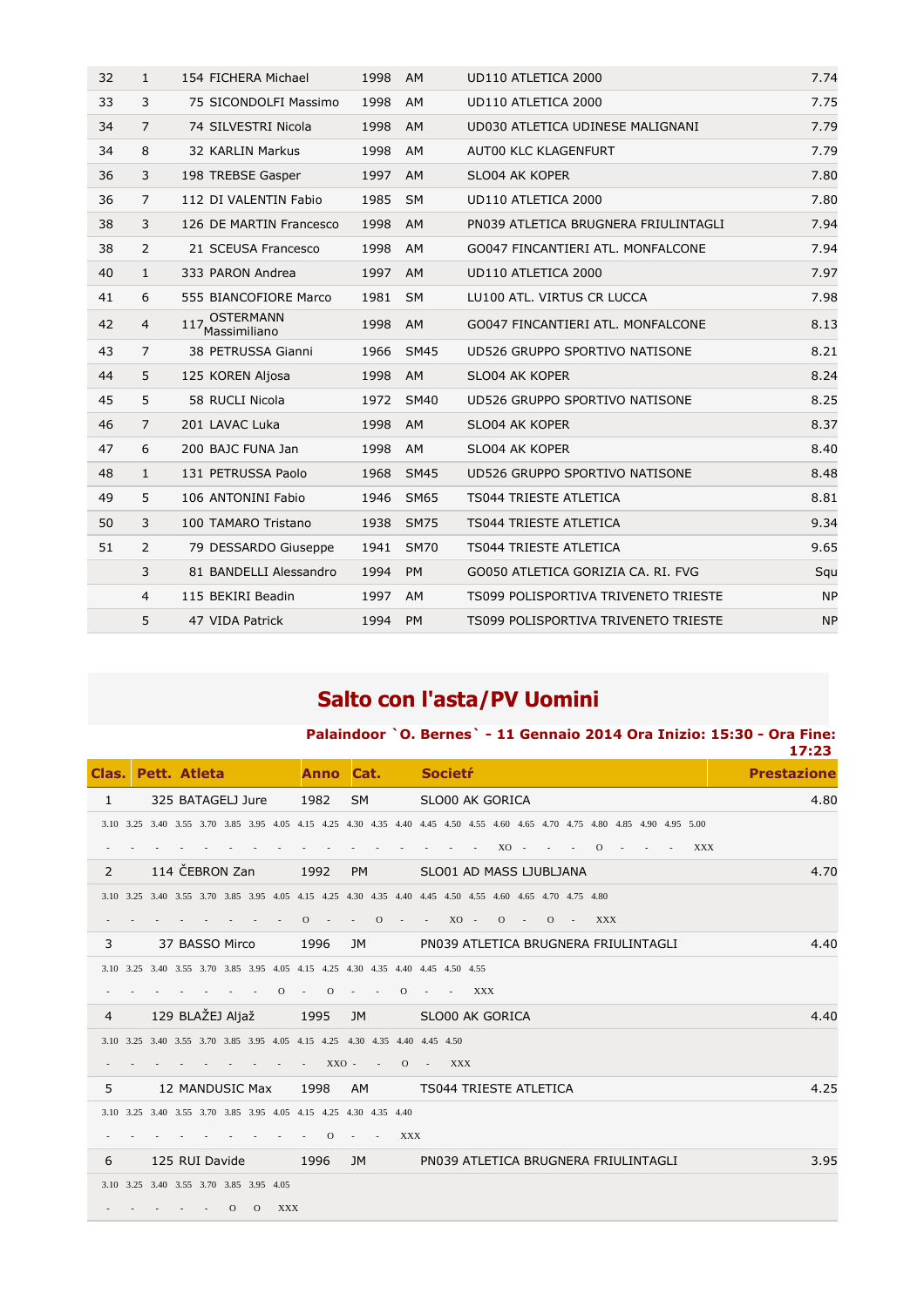| 32 | $\mathbf{1}$   | 154 FICHERA Michael                             | 1998 | <b>AM</b>   | UD110 ATLETICA 2000                  | 7.74      |
|----|----------------|-------------------------------------------------|------|-------------|--------------------------------------|-----------|
| 33 | 3              | 75 SICONDOLFI Massimo                           | 1998 | AM          | UD110 ATLETICA 2000                  | 7.75      |
| 34 | 7              | 74 SILVESTRI Nicola                             | 1998 | <b>AM</b>   | UD030 ATLETICA UDINESE MALIGNANI     | 7.79      |
| 34 | 8              | 32 KARLIN Markus                                | 1998 | AM          | AUT00 KLC KLAGENFURT                 | 7.79      |
| 36 | 3              | 198 TREBSE Gasper                               | 1997 | AM          | SLO04 AK KOPER                       | 7.80      |
| 36 | 7              | 112 DI VALENTIN Fabio                           | 1985 | <b>SM</b>   | UD110 ATLETICA 2000                  | 7.80      |
| 38 | 3              | 126 DE MARTIN Francesco                         | 1998 | <b>AM</b>   | PN039 ATLETICA BRUGNERA FRIULINTAGLI | 7.94      |
| 38 | $\overline{2}$ | 21 SCEUSA Francesco                             | 1998 | AM          | GO047 FINCANTIERI ATL. MONFALCONE    | 7.94      |
| 40 | $\mathbf{1}$   | 333 PARON Andrea                                | 1997 | AM          | UD110 ATLETICA 2000                  | 7.97      |
| 41 | 6              | 555 BIANCOFIORE Marco                           | 1981 | <b>SM</b>   | LU100 ATL. VIRTUS CR LUCCA           | 7.98      |
| 42 | $\overline{4}$ | <b>OSTERMANN</b><br>117 <sub>Massimiliano</sub> | 1998 | AM          | GO047 FINCANTIERI ATL. MONFALCONE    | 8.13      |
| 43 | 7              | 38 PETRUSSA Gianni                              | 1966 | <b>SM45</b> | UD526 GRUPPO SPORTIVO NATISONE       | 8.21      |
| 44 | 5              | 125 KOREN Aljosa                                | 1998 | AM          | SLO04 AK KOPER                       | 8.24      |
| 45 | 5              | 58 RUCLI Nicola                                 | 1972 | <b>SM40</b> | UD526 GRUPPO SPORTIVO NATISONE       | 8.25      |
| 46 | 7              | 201 LAVAC Luka                                  | 1998 | <b>AM</b>   | SLO04 AK KOPER                       | 8.37      |
| 47 | 6              | 200 BAJC FUNA Jan                               | 1998 | AM          | SLO04 AK KOPER                       | 8.40      |
| 48 | $\mathbf{1}$   | 131 PETRUSSA Paolo                              | 1968 | <b>SM45</b> | UD526 GRUPPO SPORTIVO NATISONE       | 8.48      |
| 49 | 5              | 106 ANTONINI Fabio                              | 1946 | <b>SM65</b> | <b>TS044 TRIESTE ATLETICA</b>        | 8.81      |
| 50 | 3              | 100 TAMARO Tristano                             | 1938 | <b>SM75</b> | <b>TS044 TRIESTE ATLETICA</b>        | 9.34      |
| 51 | 2              | 79 DESSARDO Giuseppe                            | 1941 | <b>SM70</b> | <b>TS044 TRIESTE ATLETICA</b>        | 9.65      |
|    | 3              | 81 BANDELLI Alessandro                          | 1994 | <b>PM</b>   | GO050 ATLETICA GORIZIA CA. RI. FVG   | Squ       |
|    | $\overline{4}$ | 115 BEKIRI Beadin                               | 1997 | AM          | TS099 POLISPORTIVA TRIVENETO TRIESTE | <b>NP</b> |
|    | 5              | 47 VIDA Patrick                                 | 1994 | <b>PM</b>   | TS099 POLISPORTIVA TRIVENETO TRIESTE | <b>NP</b> |

# **Salto con l'asta/PV Uomini**

|  |                    |             |                     |                                                                                                                              | 17:23              |
|--|--------------------|-------------|---------------------|------------------------------------------------------------------------------------------------------------------------------|--------------------|
|  | Clas, Pett, Atleta | <b>Anno</b> | $\blacksquare$ Cat. | <b>Societr</b>                                                                                                               | <b>Prestazione</b> |
|  | 325 BATAGELJ Jure  | 1982 SM     |                     | SLO00 AK GORICA                                                                                                              | 4.80               |
|  |                    |             |                     | 3.10 3.25 3.40 3.55 3.70 3.85 3.95 4.05 4.15 4.25 4.30 4.35 4.40 4.45 4.50 4.55 4.60 4.65 4.70 4.75 4.80 4.85 4.90 4.95 5.00 |                    |

**Palaindoor `O. Bernes` - 11 Gennaio 2014 Ora Inizio: 15:30 - Ora Fine:** 

|  |  |  |  |  |  |  |  | . XO 0 XXX |  |  |  |  |
|--|--|--|--|--|--|--|--|------------|--|--|--|--|

|   | 114 ČEBRON Zan                                                                                           |  |                |            | 1992 |                | <b>PM</b>              |  |                                              | SLO01 AD MASS LJUBLJANA                     |            |  |                |                 |                                      | 4.70 |
|---|----------------------------------------------------------------------------------------------------------|--|----------------|------------|------|----------------|------------------------|--|----------------------------------------------|---------------------------------------------|------------|--|----------------|-----------------|--------------------------------------|------|
|   | 3.10 3.25 3.40 3.55 3.70 3.85 3.95 4.05 4.15 4.25 4.30 4.35 4.40 4.45 4.50 4.55 4.60 4.65 4.70 4.75 4.80 |  |                |            |      |                |                        |  |                                              |                                             |            |  |                |                 |                                      |      |
|   |                                                                                                          |  | <b>Service</b> | $\sim$     |      |                |                        |  |                                              | $0 \cdot 0 \cdot 0 \cdot 0 \cdot 0 \cdot 0$ |            |  | $\overline{O}$ | $\sim 10^{-11}$ | <b>XXX</b>                           |      |
|   | 37 BASSO Mirco                                                                                           |  |                |            | 1996 |                | JM.                    |  |                                              |                                             |            |  |                |                 | PN039 ATLETICA BRUGNERA FRIULINTAGLI | 4.40 |
|   | 3.10 3.25 3.40 3.55 3.70 3.85 3.95 4.05 4.15 4.25 4.30 4.35 4.40 4.45 4.50 4.55                          |  |                |            |      |                |                        |  |                                              |                                             |            |  |                |                 |                                      |      |
|   |                                                                                                          |  | $\sim$         | $\Omega$ - |      | $\overline{O}$ | <b>Service</b> Service |  | $\overline{0}$ $\overline{1}$ $\overline{1}$ |                                             | <b>XXX</b> |  |                |                 |                                      |      |
| 4 | 129 BLAŽEJ Aljaž                                                                                         |  |                |            | 1995 |                | JM                     |  |                                              | SLO00 AK GORICA                             |            |  |                |                 |                                      | 4.40 |
|   |                                                                                                          |  |                |            |      |                |                        |  |                                              |                                             |            |  |                |                 |                                      |      |

3.10 3.25 3.40 3.55 3.70 3.85 3.95 4.05 4.15 4.25 4.30 4.35 4.40 4.45 4.50

- - - - - - - - - XXO - - O - XXX

5 12 MANDUSIC Max 1998 AM TS044 TRIESTE ATLETICA 4.25

3.10 3.25 3.40 3.55 3.70 3.85 3.95 4.05 4.15 4.25 4.30 4.35 4.40

- - - - - - - - - O - - XXX

6 125 RUI Davide 1996 JM PN039 ATLETICA BRUGNERA FRIULINTAGLI 3.95

3.10 3.25 3.40 3.55 3.70 3.85 3.95 4.05

- - - - - O O XXX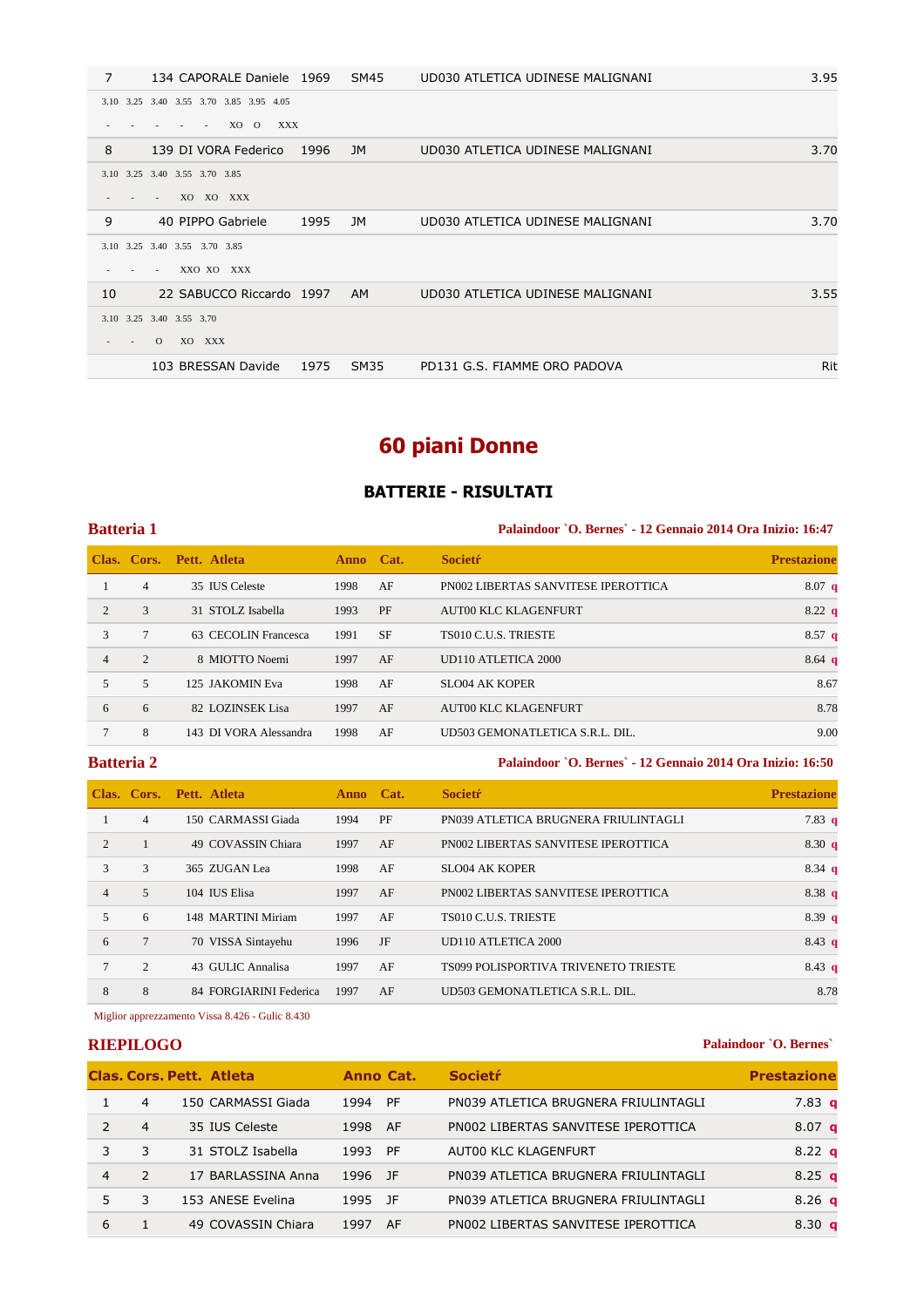| 7  | 134 CAPORALE Daniele 1969               |      | SM45        | UD030 ATLETICA UDINESE MALIGNANI | 3.95 |
|----|-----------------------------------------|------|-------------|----------------------------------|------|
|    | 3.10 3.25 3.40 3.55 3.70 3.85 3.95 4.05 |      |             |                                  |      |
|    | XO O<br><b>XXX</b>                      |      |             |                                  |      |
| 8  | 139 DI VORA Federico                    | 1996 | JM          | UD030 ATLETICA UDINESE MALIGNANI | 3.70 |
|    | 3.10 3.25 3.40 3.55 3.70 3.85           |      |             |                                  |      |
|    | XO XO XXX<br>$\overline{\phantom{a}}$   |      |             |                                  |      |
| 9  | 40 PIPPO Gabriele                       | 1995 | JM.         | UD030 ATLETICA UDINESE MALIGNANI | 3.70 |
|    | 3.10 3.25 3.40 3.55 3.70 3.85           |      |             |                                  |      |
|    | XXO XO XXX                              |      |             |                                  |      |
| 10 | 22 SABUCCO Riccardo 1997                |      | <b>AM</b>   | UD030 ATLETICA UDINESE MALIGNANI | 3.55 |
|    | 3.10 3.25 3.40 3.55 3.70                |      |             |                                  |      |
|    | XO XXX<br>$\Omega$                      |      |             |                                  |      |
|    | 103 BRESSAN Davide                      | 1975 | <b>SM35</b> | PD131 G.S. FIAMME ORO PADOVA     | Rit  |

# **60 piani Donne**

## **BATTERIE - RISULTATI**

## **Batteria 1 Palaindoor `O. Bernes` - 12 Gennaio 2014 Ora Inizio: 16:47 Clas. Cors. Pett. Atleta Anno Cat. Societŕ Prestazione** 1 4 35 IUS Celeste 1998 AF PN002 LIBERTAS SANVITESE IPEROTTICA 8.07 **q** 2 3 31 STOLZ Isabella 1993 PF AUT00 KLC KLAGENFURT 8.22 **q** 3 7 63 CECOLIN Francesca 1991 SF TS010 C.U.S. TRIESTE 8.57 **q** 4 2 8 MIOTTO Noemi 1997 AF UD110 ATLETICA 2000 8.64 **q** 5 5 125 JAKOMIN Eva 1998 AF SLO04 AK KOPER 8.67 6 6 82 LOZINSEK Lisa 1997 AF AUT00 KLC KLAGENFURT 8.78 7 8 143 DI VORA Alessandra 1998 AF UD503 GEMONATLETICA S.R.L. DIL. 9.00

**Batteria 2 Palaindoor `O. Bernes` - 12 Gennaio 2014 Ora Inizio: 16:50** 

|                |                | Clas. Cors. Pett. Atleta | Anno Cat. |    | <b>Societr</b>                       | <b>Prestazione</b> |
|----------------|----------------|--------------------------|-----------|----|--------------------------------------|--------------------|
|                | $\overline{4}$ | 150 CARMASSI Giada       | 1994      | PF | PN039 ATLETICA BRUGNERA FRIULINTAGLI | $7.83\text{ q}$    |
| 2              |                | 49 COVASSIN Chiara       | 1997      | AF | PN002 LIBERTAS SANVITESE IPEROTTICA  | 8.30q              |
| 3              | 3              | 365 ZUGAN Lea            | 1998      | AF | SLO04 AK KOPER                       | 8.34 $q$           |
| $\overline{4}$ | 5              | 104 IUS Elisa            | 1997      | AF | PN002 LIBERTAS SANVITESE IPEROTTICA  | 8.38 q             |
| $\mathfrak{F}$ | 6              | 148 MARTINI Miriam       | 1997      | AF | TS010 C.U.S. TRIESTE                 | 8.39q              |
| 6              | $\overline{7}$ | 70 VISSA Sintayehu       | 1996      | JF | UD110 ATLETICA 2000                  | $8.43 \text{ q}$   |
| 7              | $\mathcal{L}$  | 43 GULIC Annalisa        | 1997      | AF | TS099 POLISPORTIVA TRIVENETO TRIESTE | 8.43 $q$           |
| 8              | 8              | 84 FORGIARINI Federica   | 1997      | AF | UD503 GEMONATLETICA S.R.L. DIL.      | 8.78               |

Miglior apprezzamento Vissa 8.426 - Gulic 8.430

### **RIEPILOGO Palaindoor `O. Bernes`**

|   |   | <b>Clas, Cors, Pett. Atleta</b> | Anno Cat. |    | <b>Societr</b>                       | <b>Prestazione</b> |
|---|---|---------------------------------|-----------|----|--------------------------------------|--------------------|
|   | 4 | 150 CARMASSI Giada              | 1994      | PF | PN039 ATLETICA BRUGNERA FRIULINTAGLI | 7.83 <sub>q</sub>  |
|   | 4 | 35 IUS Celeste                  | 1998 AF   |    | PN002 LIBERTAS SANVITESE IPEROTTICA  | 8.07 <sub>a</sub>  |
| 3 | 3 | 31 STOLZ Isabella               | 1993 PF   |    | AUT00 KLC KLAGENFURT                 | $8.22 \text{ q}$   |
| 4 |   | 17 BARLASSINA Anna              | 1996 JF   |    | PN039 ATLETICA BRUGNERA FRIULINTAGLI | $8.25$ q           |
|   | 3 | 153 ANESE Evelina               | 1995 JF   |    | PN039 ATLETICA BRUGNERA FRIULINTAGLI | 8.26 <sub>a</sub>  |
| 6 |   | 49 COVASSIN Chiara              | 1997      | AF | PN002 LIBERTAS SANVITESE IPEROTTICA  | 8.30 <sub>a</sub>  |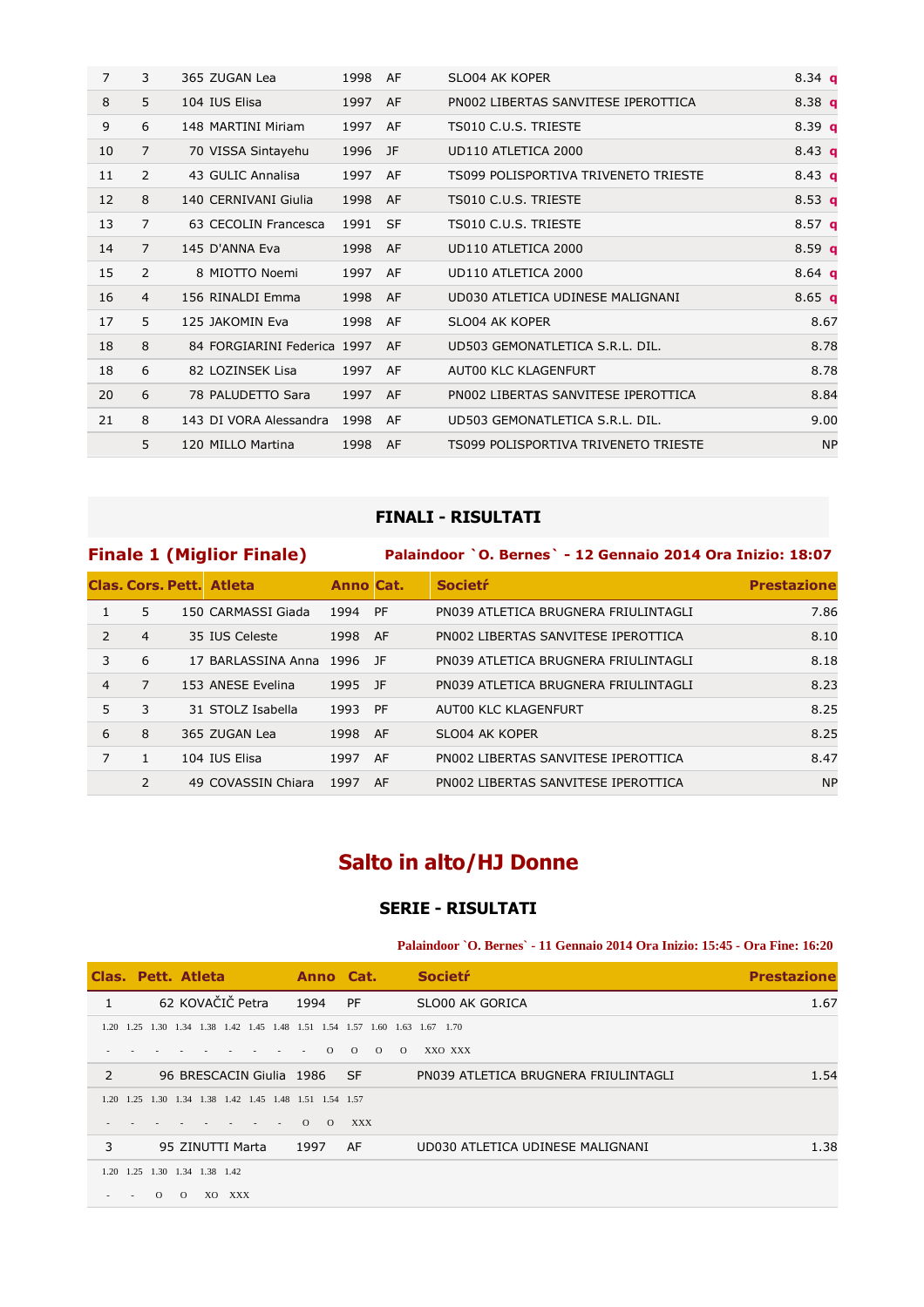| $\overline{7}$ | 3              | 365 ZUGAN Lea               | 1998    | AF  | SLO04 AK KOPER                       | $8.34$ a          |
|----------------|----------------|-----------------------------|---------|-----|--------------------------------------|-------------------|
| 8              | 5              | 104 IUS Elisa               | 1997    | AF  | PN002 LIBERTAS SANVITESE IPEROTTICA  | 8.38 $q$          |
| 9              | 6              | 148 MARTINI Miriam          | 1997    | AF  | TS010 C.U.S. TRIESTE                 | 8.39 $q$          |
| 10             | $\overline{7}$ | 70 VISSA Sintayehu          | 1996 JF |     | UD110 ATLETICA 2000                  | 8.43 $q$          |
| 11             | 2              | 43 GULIC Annalisa           | 1997    | AF  | TS099 POLISPORTIVA TRIVENETO TRIESTE | 8.43 $q$          |
| 12             | 8              | 140 CERNIVANI Giulia        | 1998    | AF  | TS010 C.U.S. TRIESTE                 | 8.53 $q$          |
| 13             | 7              | 63 CECOLIN Francesca        | 1991    | -SF | TS010 C.U.S. TRIESTE                 | 8.57 <sub>q</sub> |
| 14             | $\overline{7}$ | 145 D'ANNA Eva              | 1998    | AF  | UD110 ATLETICA 2000                  | 8.59 <sub>q</sub> |
| 15             | 2              | 8 MIOTTO Noemi              | 1997    | AF  | UD110 ATLETICA 2000                  | $8.64$ q          |
| 16             | $\overline{4}$ | 156 RINALDI Emma            | 1998    | AF  | UD030 ATLETICA UDINESE MALIGNANI     | 8.65 $q$          |
| 17             | 5              | 125 JAKOMIN Eva             | 1998    | AF  | SLO04 AK KOPER                       | 8.67              |
| 18             | 8              | 84 FORGIARINI Federica 1997 |         | AF  | UD503 GEMONATLETICA S.R.L. DIL.      | 8.78              |
| 18             | 6              | 82 LOZINSEK Lisa            | 1997    | AF  | AUT00 KLC KLAGENFURT                 | 8.78              |
| 20             | 6              | 78 PALUDETTO Sara           | 1997 AF |     | PN002 LIBERTAS SANVITESE IPEROTTICA  | 8.84              |
| 21             | 8              | 143 DI VORA Alessandra      | 1998    | AF  | UD503 GEMONATLETICA S.R.L. DIL.      | 9.00              |
|                | 5              | 120 MILLO Martina           | 1998    | AF  | TS099 POLISPORTIVA TRIVENETO TRIESTE | <b>NP</b>         |

## **FINALI - RISULTATI**

## **Finale 1 (Miglior Finale) Palaindoor `O. Bernes` - 12 Gennaio 2014 Ora Inizio: 18:07**

|                |                | <b>Clas, Cors, Pett. Atleta</b> | <b>Anno Cat.</b> |      | <b>Societr</b>                       | <b>Prestazione</b> |
|----------------|----------------|---------------------------------|------------------|------|--------------------------------------|--------------------|
|                | 5              | 150 CARMASSI Giada              | 1994             | PF   | PN039 ATLETICA BRUGNERA FRIULINTAGLI | 7.86               |
| $\mathcal{P}$  | $\overline{4}$ | 35 IUS Celeste                  | 1998             | AF   | PN002 LIBERTAS SANVITESE IPEROTTICA  | 8.10               |
| 3              | 6              | 17 BARLASSINA Anna              | 1996 JF          |      | PN039 ATLETICA BRUGNERA FRIULINTAGLI | 8.18               |
| $\overline{4}$ | 7              | 153 ANESE Evelina               | 1995 JF          |      | PN039 ATLETICA BRUGNERA FRIULINTAGLI | 8.23               |
| 5.             | 3              | 31 STOLZ Isabella               | 1993 PF          |      | AUTOO KLC KLAGENFURT                 | 8.25               |
| 6              | 8              | 365 ZUGAN Lea                   | 1998             | - AF | SLO04 AK KOPER                       | 8.25               |
| 7              |                | 104 IUS Elisa                   | 1997             | AF   | PN002 LIBERTAS SANVITESE IPEROTTICA  | 8.47               |
|                | $\mathcal{P}$  | 49 COVASSIN Chiara              | 1997             | AF   | PN002 LIBERTAS SANVITESE IPEROTTICA  | <b>NP</b>          |

# **Salto in alto/HJ Donne**

### **SERIE - RISULTATI**

**Palaindoor `O. Bernes` - 11 Gennaio 2014 Ora Inizio: 15:45 - Ora Fine: 16:20** 

| Clas. Pett. Atleta |                               |          |          |                  |            |  |                                              |          | Anno Cat.  |          |          | <b>Societr</b>                       | <b>Prestazione</b> |
|--------------------|-------------------------------|----------|----------|------------------|------------|--|----------------------------------------------|----------|------------|----------|----------|--------------------------------------|--------------------|
|                    |                               |          |          | 62 KOVAČIČ Petra |            |  | 1994                                         |          | PF         |          |          | SLO00 AK GORICA                      | 1.67               |
| 120                | 1.25                          |          |          |                  |            |  | 1.30 1.34 1.38 1.42 1.45 1.48 1.51 1.54 1.57 |          |            |          |          | $1.60$ $1.63$ $1.67$ $1.70$          |                    |
|                    |                               |          |          |                  |            |  |                                              | $\Omega$ | $\Omega$   | $\Omega$ | $\Omega$ | XXO XXX                              |                    |
| 2                  |                               |          |          |                  |            |  | 96 BRESCACIN Giulia 1986                     |          | <b>SF</b>  |          |          | PN039 ATLETICA BRUGNERA FRIULINTAGLI | 1.54               |
| 120                | 1.25                          | 1.30     |          |                  |            |  | 1.34 1.38 1.42 1.45 1.48 1.51 1.54 1.57      |          |            |          |          |                                      |                    |
|                    |                               |          |          |                  |            |  | $\Omega$                                     | $\Omega$ | <b>XXX</b> |          |          |                                      |                    |
| 3                  |                               |          |          | 95 ZINUTTI Marta |            |  | 1997                                         |          | AF         |          |          | UD030 ATLETICA UDINESE MALIGNANI     | 1.38               |
|                    | 1.20 1.25 1.30 1.34 1.38 1.42 |          |          |                  |            |  |                                              |          |            |          |          |                                      |                    |
|                    |                               | $\Omega$ | $\Omega$ | XO.              | <b>XXX</b> |  |                                              |          |            |          |          |                                      |                    |